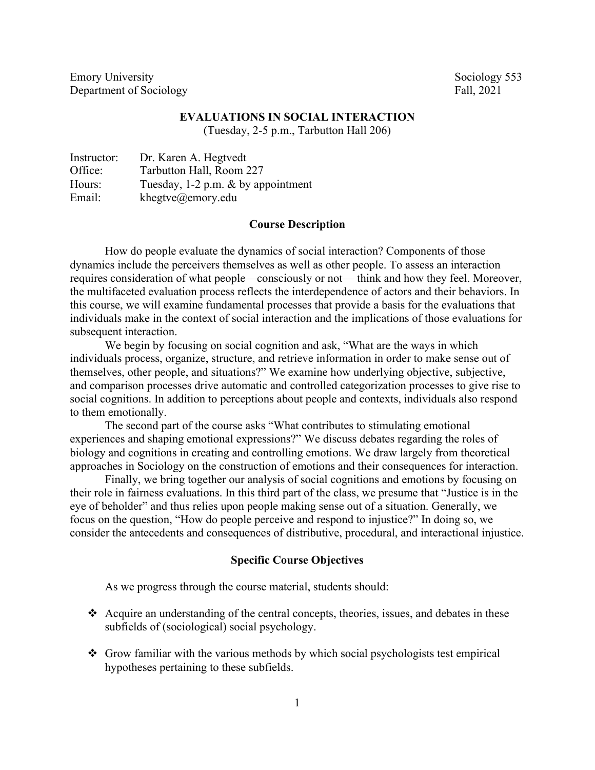Emory University Sociology 553 Department of Sociology Fall, 2021

#### **EVALUATIONS IN SOCIAL INTERACTION**

(Tuesday, 2-5 p.m., Tarbutton Hall 206)

| Instructor: | Dr. Karen A. Hegtvedt                |
|-------------|--------------------------------------|
| Office:     | Tarbutton Hall, Room 227             |
| Hours:      | Tuesday, 1-2 p.m. $&$ by appointment |
| Email:      | khegtve@emory.edu                    |

#### **Course Description**

How do people evaluate the dynamics of social interaction? Components of those dynamics include the perceivers themselves as well as other people. To assess an interaction requires consideration of what people—consciously or not— think and how they feel. Moreover, the multifaceted evaluation process reflects the interdependence of actors and their behaviors. In this course, we will examine fundamental processes that provide a basis for the evaluations that individuals make in the context of social interaction and the implications of those evaluations for subsequent interaction.

We begin by focusing on social cognition and ask, "What are the ways in which individuals process, organize, structure, and retrieve information in order to make sense out of themselves, other people, and situations?" We examine how underlying objective, subjective, and comparison processes drive automatic and controlled categorization processes to give rise to social cognitions. In addition to perceptions about people and contexts, individuals also respond to them emotionally.

The second part of the course asks "What contributes to stimulating emotional experiences and shaping emotional expressions?" We discuss debates regarding the roles of biology and cognitions in creating and controlling emotions. We draw largely from theoretical approaches in Sociology on the construction of emotions and their consequences for interaction.

Finally, we bring together our analysis of social cognitions and emotions by focusing on their role in fairness evaluations. In this third part of the class, we presume that "Justice is in the eye of beholder" and thus relies upon people making sense out of a situation. Generally, we focus on the question, "How do people perceive and respond to injustice?" In doing so, we consider the antecedents and consequences of distributive, procedural, and interactional injustice.

#### **Specific Course Objectives**

As we progress through the course material, students should:

- Acquire an understanding of the central concepts, theories, issues, and debates in these subfields of (sociological) social psychology.
- $\triangleleft$  Grow familiar with the various methods by which social psychologists test empirical hypotheses pertaining to these subfields.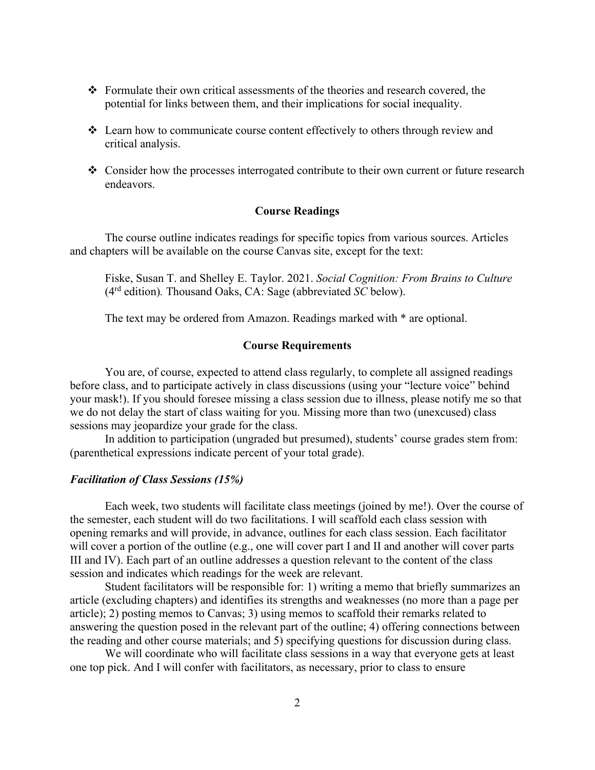- $\triangle$  Formulate their own critical assessments of the theories and research covered, the potential for links between them, and their implications for social inequality.
- $\div$  Learn how to communicate course content effectively to others through review and critical analysis.
- $\cdot$  Consider how the processes interrogated contribute to their own current or future research endeavors.

# **Course Readings**

The course outline indicates readings for specific topics from various sources. Articles and chapters will be available on the course Canvas site, except for the text:

Fiske, Susan T. and Shelley E. Taylor. 2021. *Social Cognition: From Brains to Culture* (4rd edition)*.* Thousand Oaks, CA: Sage (abbreviated *SC* below).

The text may be ordered from Amazon. Readings marked with \* are optional.

## **Course Requirements**

You are, of course, expected to attend class regularly, to complete all assigned readings before class, and to participate actively in class discussions (using your "lecture voice" behind your mask!). If you should foresee missing a class session due to illness, please notify me so that we do not delay the start of class waiting for you. Missing more than two (unexcused) class sessions may jeopardize your grade for the class.

In addition to participation (ungraded but presumed), students' course grades stem from: (parenthetical expressions indicate percent of your total grade).

#### *Facilitation of Class Sessions (15%)*

Each week, two students will facilitate class meetings (joined by me!). Over the course of the semester, each student will do two facilitations. I will scaffold each class session with opening remarks and will provide, in advance, outlines for each class session. Each facilitator will cover a portion of the outline (e.g., one will cover part I and II and another will cover parts III and IV). Each part of an outline addresses a question relevant to the content of the class session and indicates which readings for the week are relevant.

Student facilitators will be responsible for: 1) writing a memo that briefly summarizes an article (excluding chapters) and identifies its strengths and weaknesses (no more than a page per article); 2) posting memos to Canvas; 3) using memos to scaffold their remarks related to answering the question posed in the relevant part of the outline; 4) offering connections between the reading and other course materials; and 5) specifying questions for discussion during class.

We will coordinate who will facilitate class sessions in a way that everyone gets at least one top pick. And I will confer with facilitators, as necessary, prior to class to ensure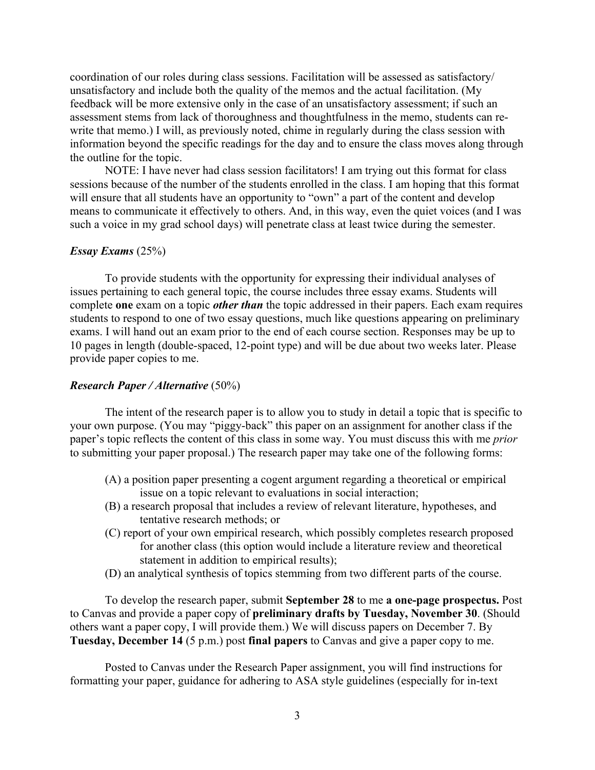coordination of our roles during class sessions. Facilitation will be assessed as satisfactory/ unsatisfactory and include both the quality of the memos and the actual facilitation. (My feedback will be more extensive only in the case of an unsatisfactory assessment; if such an assessment stems from lack of thoroughness and thoughtfulness in the memo, students can rewrite that memo.) I will, as previously noted, chime in regularly during the class session with information beyond the specific readings for the day and to ensure the class moves along through the outline for the topic.

NOTE: I have never had class session facilitators! I am trying out this format for class sessions because of the number of the students enrolled in the class. I am hoping that this format will ensure that all students have an opportunity to "own" a part of the content and develop means to communicate it effectively to others. And, in this way, even the quiet voices (and I was such a voice in my grad school days) will penetrate class at least twice during the semester.

## *Essay Exams* (25%)

To provide students with the opportunity for expressing their individual analyses of issues pertaining to each general topic, the course includes three essay exams. Students will complete **one** exam on a topic *other than* the topic addressed in their papers. Each exam requires students to respond to one of two essay questions, much like questions appearing on preliminary exams. I will hand out an exam prior to the end of each course section. Responses may be up to 10 pages in length (double-spaced, 12-point type) and will be due about two weeks later. Please provide paper copies to me.

## *Research Paper / Alternative* (50%)

The intent of the research paper is to allow you to study in detail a topic that is specific to your own purpose. (You may "piggy-back" this paper on an assignment for another class if the paper's topic reflects the content of this class in some way. You must discuss this with me *prior* to submitting your paper proposal.) The research paper may take one of the following forms:

- (A) a position paper presenting a cogent argument regarding a theoretical or empirical issue on a topic relevant to evaluations in social interaction;
- (B) a research proposal that includes a review of relevant literature, hypotheses, and tentative research methods; or
- (C) report of your own empirical research, which possibly completes research proposed for another class (this option would include a literature review and theoretical statement in addition to empirical results);
- (D) an analytical synthesis of topics stemming from two different parts of the course.

To develop the research paper, submit **September 28** to me **a one-page prospectus.** Post to Canvas and provide a paper copy of **preliminary drafts by Tuesday, November 30**. (Should others want a paper copy, I will provide them.) We will discuss papers on December 7. By **Tuesday, December 14** (5 p.m.) post **final papers** to Canvas and give a paper copy to me.

Posted to Canvas under the Research Paper assignment, you will find instructions for formatting your paper, guidance for adhering to ASA style guidelines (especially for in-text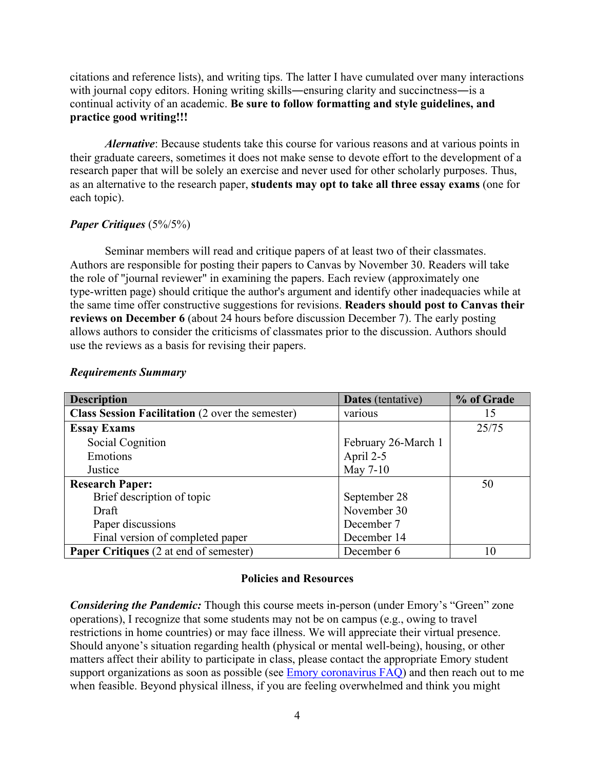citations and reference lists), and writing tips. The latter I have cumulated over many interactions with journal copy editors. Honing writing skills—ensuring clarity and succinctness—is a continual activity of an academic. **Be sure to follow formatting and style guidelines, and practice good writing!!!**

*Alernative*: Because students take this course for various reasons and at various points in their graduate careers, sometimes it does not make sense to devote effort to the development of a research paper that will be solely an exercise and never used for other scholarly purposes. Thus, as an alternative to the research paper, **students may opt to take all three essay exams** (one for each topic).

# *Paper Critiques* (5%/5%)

Seminar members will read and critique papers of at least two of their classmates. Authors are responsible for posting their papers to Canvas by November 30. Readers will take the role of "journal reviewer" in examining the papers. Each review (approximately one type-written page) should critique the author's argument and identify other inadequacies while at the same time offer constructive suggestions for revisions. **Readers should post to Canvas their reviews on December 6** (about 24 hours before discussion December 7). The early posting allows authors to consider the criticisms of classmates prior to the discussion. Authors should use the reviews as a basis for revising their papers.

| <b>Description</b>                                      | <b>Dates</b> (tentative) | % of Grade |
|---------------------------------------------------------|--------------------------|------------|
| <b>Class Session Facilitation</b> (2 over the semester) | various                  | 15         |
| <b>Essay Exams</b>                                      |                          | 25/75      |
| Social Cognition                                        | February 26-March 1      |            |
| Emotions                                                | April 2-5                |            |
| Justice                                                 | May 7-10                 |            |
| <b>Research Paper:</b>                                  |                          | 50         |
| Brief description of topic                              | September 28             |            |
| Draft                                                   | November 30              |            |
| Paper discussions                                       | December 7               |            |
| Final version of completed paper                        | December 14              |            |
| <b>Paper Critiques</b> (2 at end of semester)           | December 6               | 10         |

#### *Requirements Summary*

## **Policies and Resources**

*Considering the Pandemic:* Though this course meets in-person (under Emory's "Green" zone operations), I recognize that some students may not be on campus (e.g., owing to travel restrictions in home countries) or may face illness. We will appreciate their virtual presence. Should anyone's situation regarding health (physical or mental well-being), housing, or other matters affect their ability to participate in class, please contact the appropriate Emory student support organizations as soon as possible (see Emory coronavirus FAQ) and then reach out to me when feasible. Beyond physical illness, if you are feeling overwhelmed and think you might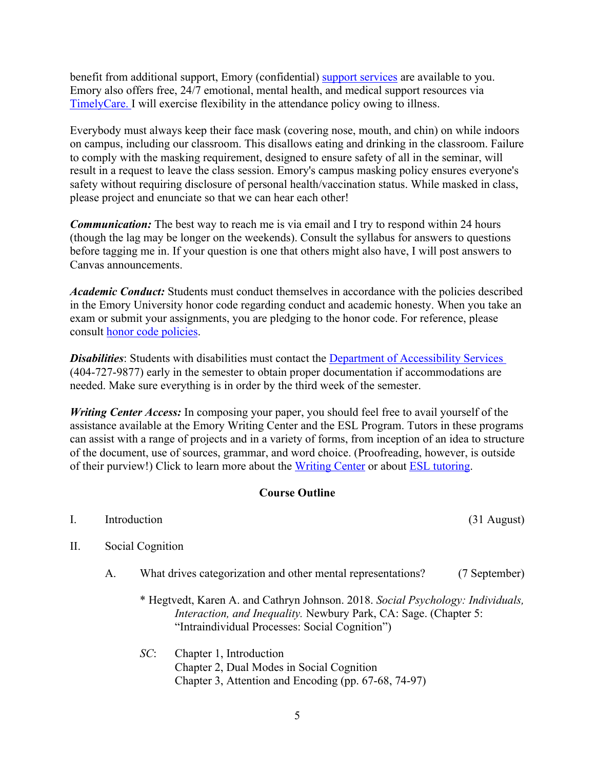benefit from additional support, Emory (confidential) support services are available to you. Emory also offers free, 24/7 emotional, mental health, and medical support resources via TimelyCare. I will exercise flexibility in the attendance policy owing to illness.

Everybody must always keep their face mask (covering nose, mouth, and chin) on while indoors on campus, including our classroom. This disallows eating and drinking in the classroom. Failure to comply with the masking requirement, designed to ensure safety of all in the seminar, will result in a request to leave the class session. Emory's campus masking policy ensures everyone's safety without requiring disclosure of personal health/vaccination status. While masked in class, please project and enunciate so that we can hear each other!

*Communication:* The best way to reach me is via email and I try to respond within 24 hours (though the lag may be longer on the weekends). Consult the syllabus for answers to questions before tagging me in. If your question is one that others might also have, I will post answers to Canvas announcements.

*Academic Conduct:* Students must conduct themselves in accordance with the policies described in the Emory University honor code regarding conduct and academic honesty. When you take an exam or submit your assignments, you are pledging to the honor code. For reference, please consult honor code policies.

**Disabilities**: Students with disabilities must contact the **Department of Accessibility Services** (404-727-9877) early in the semester to obtain proper documentation if accommodations are needed. Make sure everything is in order by the third week of the semester.

*Writing Center Access:* In composing your paper, you should feel free to avail yourself of the assistance available at the Emory Writing Center and the ESL Program. Tutors in these programs can assist with a range of projects and in a variety of forms, from inception of an idea to structure of the document, use of sources, grammar, and word choice. (Proofreading, however, is outside of their purview!) Click to learn more about the Writing Center or about ESL tutoring.

# **Course Outline**

# I. Introduction (31 August)

# II. Social Cognition

- A. What drives categorization and other mental representations? (7 September)
	- \* Hegtvedt, Karen A. and Cathryn Johnson. 2018. *Social Psychology: Individuals, Interaction, and Inequality.* Newbury Park, CA: Sage. (Chapter 5: "Intraindividual Processes: Social Cognition")
	- *SC*: Chapter 1, Introduction Chapter 2, Dual Modes in Social Cognition Chapter 3, Attention and Encoding (pp. 67-68, 74-97)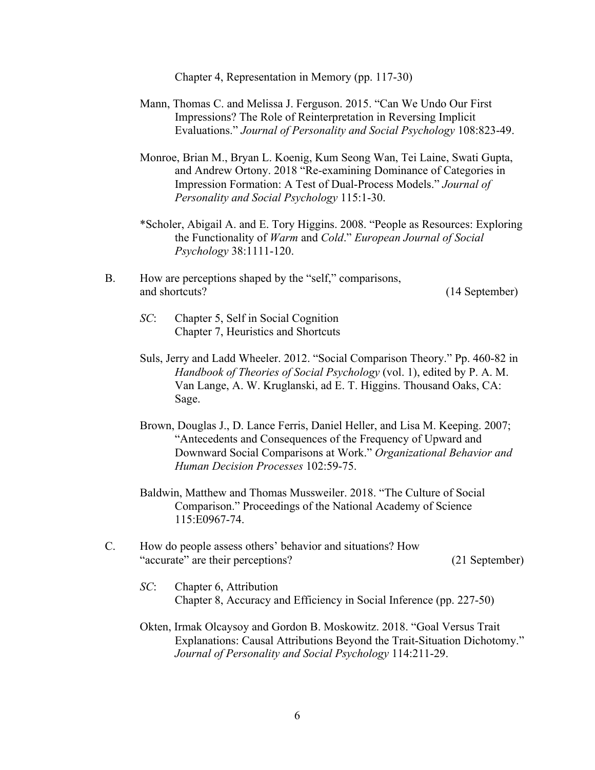Chapter 4, Representation in Memory (pp. 117-30)

- Mann, Thomas C. and Melissa J. Ferguson. 2015. "Can We Undo Our First Impressions? The Role of Reinterpretation in Reversing Implicit Evaluations." *Journal of Personality and Social Psychology* 108:823-49.
- Monroe, Brian M., Bryan L. Koenig, Kum Seong Wan, Tei Laine, Swati Gupta, and Andrew Ortony. 2018 "Re-examining Dominance of Categories in Impression Formation: A Test of Dual-Process Models." *Journal of Personality and Social Psychology* 115:1-30.
- \*Scholer, Abigail A. and E. Tory Higgins. 2008. "People as Resources: Exploring the Functionality of *Warm* and *Cold*." *European Journal of Social Psychology* 38:1111-120.
- B. How are perceptions shaped by the "self," comparisons, and shortcuts? (14 September)
	- *SC*: Chapter 5, Self in Social Cognition Chapter 7, Heuristics and Shortcuts
	- Suls, Jerry and Ladd Wheeler. 2012. "Social Comparison Theory." Pp. 460-82 in *Handbook of Theories of Social Psychology* (vol. 1), edited by P. A. M. Van Lange, A. W. Kruglanski, ad E. T. Higgins. Thousand Oaks, CA: Sage.
	- Brown, Douglas J., D. Lance Ferris, Daniel Heller, and Lisa M. Keeping. 2007; "Antecedents and Consequences of the Frequency of Upward and Downward Social Comparisons at Work." *Organizational Behavior and Human Decision Processes* 102:59-75.

Baldwin, Matthew and Thomas Mussweiler. 2018. "The Culture of Social Comparison." Proceedings of the National Academy of Science 115:E0967-74.

- C. How do people assess others' behavior and situations? How "accurate" are their perceptions? (21 September)
	- *SC*: Chapter 6, Attribution Chapter 8, Accuracy and Efficiency in Social Inference (pp. 227-50)
	- Okten, Irmak Olcaysoy and Gordon B. Moskowitz. 2018. "Goal Versus Trait Explanations: Causal Attributions Beyond the Trait-Situation Dichotomy." *Journal of Personality and Social Psychology* 114:211-29.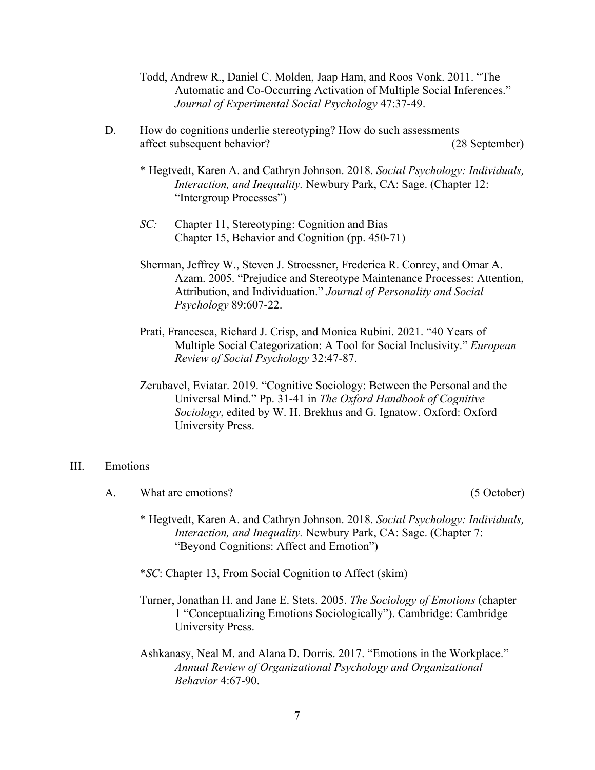- Todd, Andrew R., Daniel C. Molden, Jaap Ham, and Roos Vonk. 2011. "The Automatic and Co-Occurring Activation of Multiple Social Inferences." *Journal of Experimental Social Psychology* 47:37-49.
- D. How do cognitions underlie stereotyping? How do such assessments affect subsequent behavior? (28 September)
	- \* Hegtvedt, Karen A. and Cathryn Johnson. 2018. *Social Psychology: Individuals, Interaction, and Inequality.* Newbury Park, CA: Sage. (Chapter 12: "Intergroup Processes")
	- *SC:* Chapter 11, Stereotyping: Cognition and Bias Chapter 15, Behavior and Cognition (pp. 450-71)
	- Sherman, Jeffrey W., Steven J. Stroessner, Frederica R. Conrey, and Omar A. Azam. 2005. "Prejudice and Stereotype Maintenance Processes: Attention, Attribution, and Individuation." *Journal of Personality and Social Psychology* 89:607-22.
	- Prati, Francesca, Richard J. Crisp, and Monica Rubini. 2021. "40 Years of Multiple Social Categorization: A Tool for Social Inclusivity." *European Review of Social Psychology* 32:47-87.
	- Zerubavel, Eviatar. 2019. "Cognitive Sociology: Between the Personal and the Universal Mind." Pp. 31-41 in *The Oxford Handbook of Cognitive Sociology*, edited by W. H. Brekhus and G. Ignatow. Oxford: Oxford University Press.

# III. Emotions

A. What are emotions? (5 October)

- \* Hegtvedt, Karen A. and Cathryn Johnson. 2018. *Social Psychology: Individuals, Interaction, and Inequality.* Newbury Park, CA: Sage. (Chapter 7: "Beyond Cognitions: Affect and Emotion")
- \**SC*: Chapter 13, From Social Cognition to Affect (skim)
- Turner, Jonathan H. and Jane E. Stets. 2005. *The Sociology of Emotions* (chapter 1 "Conceptualizing Emotions Sociologically"). Cambridge: Cambridge University Press.
- Ashkanasy, Neal M. and Alana D. Dorris. 2017. "Emotions in the Workplace." *Annual Review of Organizational Psychology and Organizational Behavior* 4:67-90.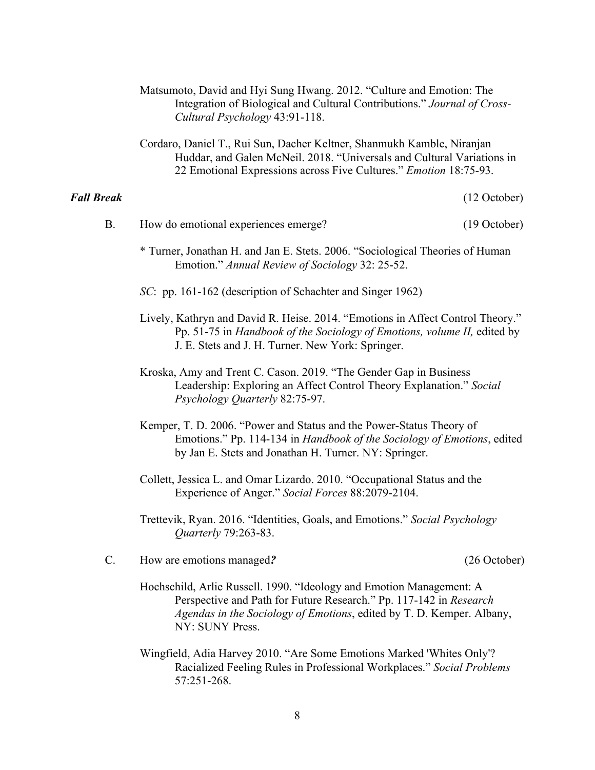|                   | Matsumoto, David and Hyi Sung Hwang. 2012. "Culture and Emotion: The<br>Integration of Biological and Cultural Contributions." Journal of Cross-<br>Cultural Psychology 43:91-118.                                                     |                |  |
|-------------------|----------------------------------------------------------------------------------------------------------------------------------------------------------------------------------------------------------------------------------------|----------------|--|
|                   | Cordaro, Daniel T., Rui Sun, Dacher Keltner, Shanmukh Kamble, Niranjan<br>Huddar, and Galen McNeil. 2018. "Universals and Cultural Variations in<br>22 Emotional Expressions across Five Cultures." <i>Emotion</i> 18:75-93.           |                |  |
| <b>Fall Break</b> |                                                                                                                                                                                                                                        | $(12$ October) |  |
| <b>B.</b>         | How do emotional experiences emerge?                                                                                                                                                                                                   | $(19$ October) |  |
|                   | * Turner, Jonathan H. and Jan E. Stets. 2006. "Sociological Theories of Human<br>Emotion." Annual Review of Sociology 32: 25-52.                                                                                                       |                |  |
|                   | SC: pp. 161-162 (description of Schachter and Singer 1962)                                                                                                                                                                             |                |  |
|                   | Lively, Kathryn and David R. Heise. 2014. "Emotions in Affect Control Theory."<br>Pp. 51-75 in Handbook of the Sociology of Emotions, volume II, edited by<br>J. E. Stets and J. H. Turner. New York: Springer.                        |                |  |
|                   | Kroska, Amy and Trent C. Cason. 2019. "The Gender Gap in Business<br>Leadership: Exploring an Affect Control Theory Explanation." Social<br>Psychology Quarterly 82:75-97.                                                             |                |  |
|                   | Kemper, T. D. 2006. "Power and Status and the Power-Status Theory of<br>Emotions." Pp. 114-134 in Handbook of the Sociology of Emotions, edited<br>by Jan E. Stets and Jonathan H. Turner. NY: Springer.                               |                |  |
|                   | Collett, Jessica L. and Omar Lizardo. 2010. "Occupational Status and the<br>Experience of Anger." Social Forces 88:2079-2104.                                                                                                          |                |  |
|                   | Trettevik, Ryan. 2016. "Identities, Goals, and Emotions." Social Psychology<br>Quarterly 79:263-83.                                                                                                                                    |                |  |
| C.                | How are emotions managed?                                                                                                                                                                                                              | (26 October)   |  |
|                   | Hochschild, Arlie Russell. 1990. "Ideology and Emotion Management: A<br>Perspective and Path for Future Research." Pp. 117-142 in Research<br>Agendas in the Sociology of Emotions, edited by T. D. Kemper. Albany,<br>NY: SUNY Press. |                |  |
|                   | Wingfield, Adia Harvey 2010. "Are Some Emotions Marked 'Whites Only'?<br>Racialized Feeling Rules in Professional Workplaces." Social Problems<br>57:251-268.                                                                          |                |  |

8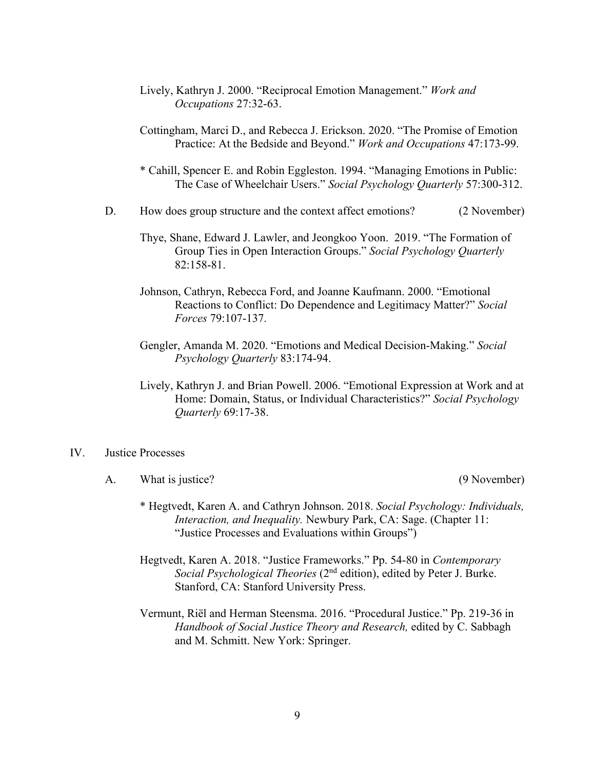- Lively, Kathryn J. 2000. "Reciprocal Emotion Management." *Work and Occupations* 27:32-63.
- Cottingham, Marci D., and Rebecca J. Erickson. 2020. "The Promise of Emotion Practice: At the Bedside and Beyond." *Work and Occupations* 47:173-99.
- \* Cahill, Spencer E. and Robin Eggleston. 1994. "Managing Emotions in Public: The Case of Wheelchair Users." *Social Psychology Quarterly* 57:300-312.
- D. How does group structure and the context affect emotions? (2 November)
	- Thye, Shane, Edward J. Lawler, and Jeongkoo Yoon. 2019. "The Formation of Group Ties in Open Interaction Groups." *Social Psychology Quarterly*  82:158-81.
	- Johnson, Cathryn, Rebecca Ford, and Joanne Kaufmann. 2000. "Emotional Reactions to Conflict: Do Dependence and Legitimacy Matter?" *Social Forces* 79:107-137.
	- Gengler, Amanda M. 2020. "Emotions and Medical Decision-Making." *Social Psychology Quarterly* 83:174-94.
	- Lively, Kathryn J. and Brian Powell. 2006. "Emotional Expression at Work and at Home: Domain, Status, or Individual Characteristics?" *Social Psychology Quarterly* 69:17-38.
- IV. Justice Processes
	- A. What is justice? (9 November)

- \* Hegtvedt, Karen A. and Cathryn Johnson. 2018. *Social Psychology: Individuals, Interaction, and Inequality.* Newbury Park, CA: Sage. (Chapter 11: "Justice Processes and Evaluations within Groups")
- Hegtvedt, Karen A. 2018. "Justice Frameworks." Pp. 54-80 in *Contemporary Social Psychological Theories* (2nd edition), edited by Peter J. Burke. Stanford, CA: Stanford University Press.
- Vermunt, Riël and Herman Steensma. 2016. "Procedural Justice." Pp. 219-36 in *Handbook of Social Justice Theory and Research,* edited by C. Sabbagh and M. Schmitt. New York: Springer.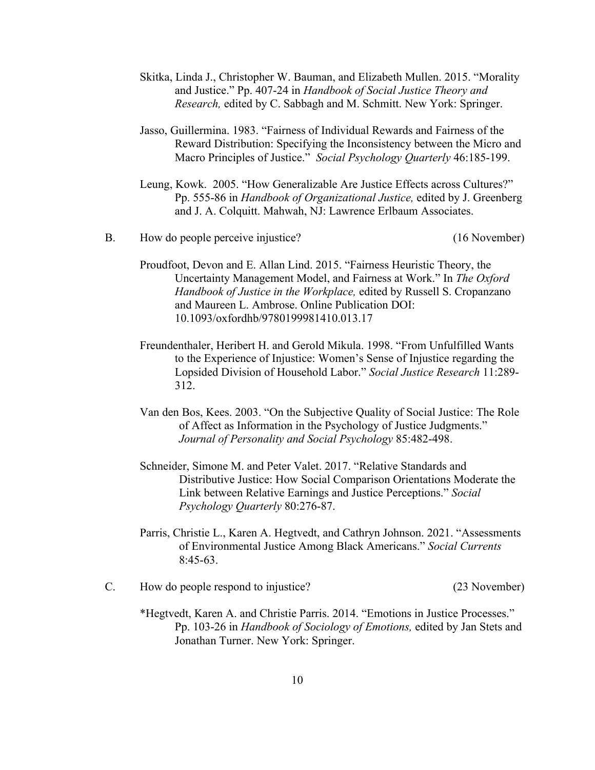- Skitka, Linda J., Christopher W. Bauman, and Elizabeth Mullen. 2015. "Morality and Justice." Pp. 407-24 in *Handbook of Social Justice Theory and Research,* edited by C. Sabbagh and M. Schmitt. New York: Springer.
- Jasso, Guillermina. 1983. "Fairness of Individual Rewards and Fairness of the Reward Distribution: Specifying the Inconsistency between the Micro and Macro Principles of Justice." *Social Psychology Quarterly* 46:185-199.
- Leung, Kowk. 2005. "How Generalizable Are Justice Effects across Cultures?" Pp. 555-86 in *Handbook of Organizational Justice,* edited by J. Greenberg and J. A. Colquitt. Mahwah, NJ: Lawrence Erlbaum Associates.
- B. How do people perceive injustice? (16 November)

- Proudfoot, Devon and E. Allan Lind. 2015. "Fairness Heuristic Theory, the Uncertainty Management Model, and Fairness at Work." In *The Oxford Handbook of Justice in the Workplace,* edited by Russell S. Cropanzano and Maureen L. Ambrose. Online Publication DOI: 10.1093/oxfordhb/9780199981410.013.17
- Freundenthaler, Heribert H. and Gerold Mikula. 1998. "From Unfulfilled Wants to the Experience of Injustice: Women's Sense of Injustice regarding the Lopsided Division of Household Labor." *Social Justice Research* 11:289- 312.
- Van den Bos, Kees. 2003. "On the Subjective Quality of Social Justice: The Role of Affect as Information in the Psychology of Justice Judgments." *Journal of Personality and Social Psychology* 85:482-498.
- Schneider, Simone M. and Peter Valet. 2017. "Relative Standards and Distributive Justice: How Social Comparison Orientations Moderate the Link between Relative Earnings and Justice Perceptions." *Social Psychology Quarterly* 80:276-87.
- Parris, Christie L., Karen A. Hegtvedt, and Cathryn Johnson. 2021. "Assessments of Environmental Justice Among Black Americans." *Social Currents*  8:45-63.
- C. How do people respond to injustice? (23 November)
	- \*Hegtvedt, Karen A. and Christie Parris. 2014. "Emotions in Justice Processes." Pp. 103-26 in *Handbook of Sociology of Emotions,* edited by Jan Stets and Jonathan Turner. New York: Springer.